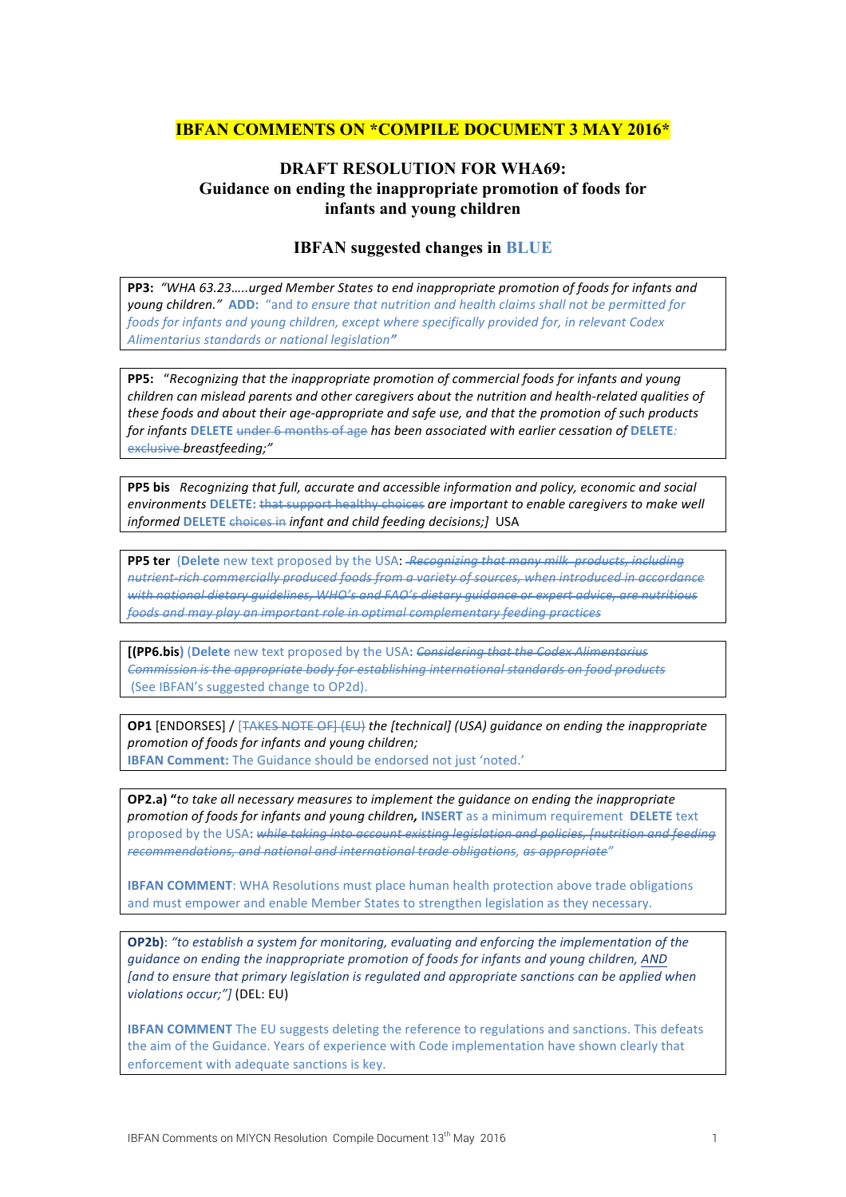## **IBFAN COMMENTS ON \*COMPILE DOCUMENT 3 MAY 2016\***

## **DRAFT RESOLUTION FOR WHA69: Guidance on ending the inappropriate promotion of foods for infants and young children**

## **IBFAN suggested changes in BLUE**

**PP3:** "WHA 63.23.....urged Member States to end inappropriate promotion of foods for infants and *young children."* ADD: "and to ensure that nutrition and health claims shall not be permitted for *foods* for infants and young children, except where specifically provided for, in relevant Codex Alimentarius standards or national legislation<sup>"</sup>

**PP5:** "Recognizing that the inappropriate promotion of commercial foods for infants and young *children* can mislead parents and other caregivers about the nutrition and health-related qualities of *these foods and about their age-appropriate and safe use, and that the promotion of such products for infants* DELETE under 6 months of age has been associated with earlier cessation of DELETE: exclusive *breastfeeding;"*

**PP5** bis *Recognizing that full, accurate and accessible information and policy, economic and social environments* DELETE: that support healthy choices are important to enable caregivers to make well *informed* **DELETE** choices in *infant and child feeding decisions;*] USA

**PP5 ter** (Delete new text proposed by the USA: *Recognizing that many milk products, including* nutrient-rich commercially produced foods from a variety of sources, when introduced in accordance *with* national dietary quidelines, WHO's and FAO's dietary quidance or expert advice, are nutritious *foods and may play an important role in optimal complementary feeding practices*

**[(PP6.bis)** (Delete new text proposed by the USA: *Considering that the Codex Alimentarius Commission is the appropriate body for establishing international standards on food products* (See IBFAN's suggested change to OP2d).

**OP1** [ENDORSES] / [TAKES NOTE OF] (EU) the [technical] (USA) quidance on ending the inappropriate *promotion of foods for infants and young children;* **IBFAN Comment:** The Guidance should be endorsed not just 'noted.'

**OP2.a)** "to take all necessary measures to implement the quidance on ending the inappropriate *promotion of foods for infants and young children, INSERT* as a minimum requirement DELETE text proposed by the USA; while taking into account existing legislation and policies. Inutrition and feeding *recommendations, and national and international trade obligations, as appropriate"* 

**IBFAN COMMENT:** WHA Resolutions must place human health protection above trade obligations and must empower and enable Member States to strengthen legislation as they necessary.

**OP2b)**: "to establish a system for monitoring, evaluating and enforcing the implementation of the *guidance on ending the inappropriate promotion of foods for infants and young children, AND* [and to ensure that primary legislation is regulated and appropriate sanctions can be applied when *violations occur;"]* (DEL: EU)

**IBFAN COMMENT** The EU suggests deleting the reference to regulations and sanctions. This defeats the aim of the Guidance. Years of experience with Code implementation have shown clearly that enforcement with adequate sanctions is key.